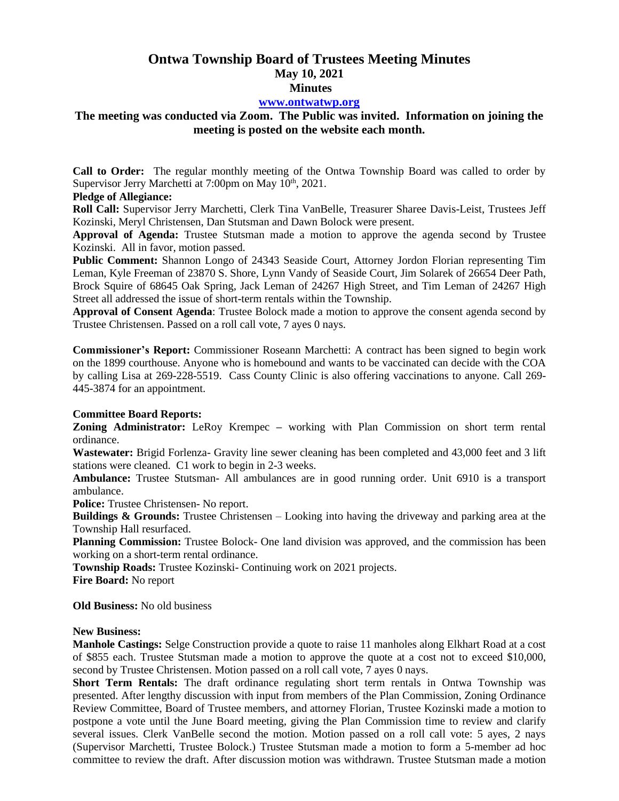# **Ontwa Township Board of Trustees Meeting Minutes May 10, 2021 Minutes**

#### **[www.ontwatwp.org](http://www.ontwatwp.org/)**

## **The meeting was conducted via Zoom. The Public was invited. Information on joining the meeting is posted on the website each month.**

**Call to Order:** The regular monthly meeting of the Ontwa Township Board was called to order by Supervisor Jerry Marchetti at 7:00pm on May 10<sup>th</sup>, 2021.

#### **Pledge of Allegiance:**

**Roll Call:** Supervisor Jerry Marchetti, Clerk Tina VanBelle, Treasurer Sharee Davis-Leist, Trustees Jeff Kozinski, Meryl Christensen, Dan Stutsman and Dawn Bolock were present.

**Approval of Agenda:** Trustee Stutsman made a motion to approve the agenda second by Trustee Kozinski. All in favor, motion passed.

**Public Comment:** Shannon Longo of 24343 Seaside Court, Attorney Jordon Florian representing Tim Leman, Kyle Freeman of 23870 S. Shore, Lynn Vandy of Seaside Court, Jim Solarek of 26654 Deer Path, Brock Squire of 68645 Oak Spring, Jack Leman of 24267 High Street, and Tim Leman of 24267 High Street all addressed the issue of short-term rentals within the Township.

**Approval of Consent Agenda**: Trustee Bolock made a motion to approve the consent agenda second by Trustee Christensen. Passed on a roll call vote, 7 ayes 0 nays.

**Commissioner's Report:** Commissioner Roseann Marchetti: A contract has been signed to begin work on the 1899 courthouse. Anyone who is homebound and wants to be vaccinated can decide with the COA by calling Lisa at 269-228-5519. Cass County Clinic is also offering vaccinations to anyone. Call 269- 445-3874 for an appointment.

### **Committee Board Reports:**

**Zoning Administrator:** LeRoy Krempec **–** working with Plan Commission on short term rental ordinance.

**Wastewater:** Brigid Forlenza- Gravity line sewer cleaning has been completed and 43,000 feet and 3 lift stations were cleaned. C1 work to begin in 2-3 weeks.

**Ambulance:** Trustee Stutsman- All ambulances are in good running order. Unit 6910 is a transport ambulance.

**Police:** Trustee Christensen- No report.

**Buildings & Grounds:** Trustee Christensen – Looking into having the driveway and parking area at the Township Hall resurfaced.

**Planning Commission:** Trustee Bolock- One land division was approved, and the commission has been working on a short-term rental ordinance.

**Township Roads:** Trustee Kozinski- Continuing work on 2021 projects.

**Fire Board:** No report

**Old Business:** No old business

#### **New Business:**

**Manhole Castings:** Selge Construction provide a quote to raise 11 manholes along Elkhart Road at a cost of \$855 each. Trustee Stutsman made a motion to approve the quote at a cost not to exceed \$10,000, second by Trustee Christensen. Motion passed on a roll call vote, 7 ayes 0 nays.

**Short Term Rentals:** The draft ordinance regulating short term rentals in Ontwa Township was presented. After lengthy discussion with input from members of the Plan Commission, Zoning Ordinance Review Committee, Board of Trustee members, and attorney Florian, Trustee Kozinski made a motion to postpone a vote until the June Board meeting, giving the Plan Commission time to review and clarify several issues. Clerk VanBelle second the motion. Motion passed on a roll call vote: 5 ayes, 2 nays (Supervisor Marchetti, Trustee Bolock.) Trustee Stutsman made a motion to form a 5-member ad hoc committee to review the draft. After discussion motion was withdrawn. Trustee Stutsman made a motion